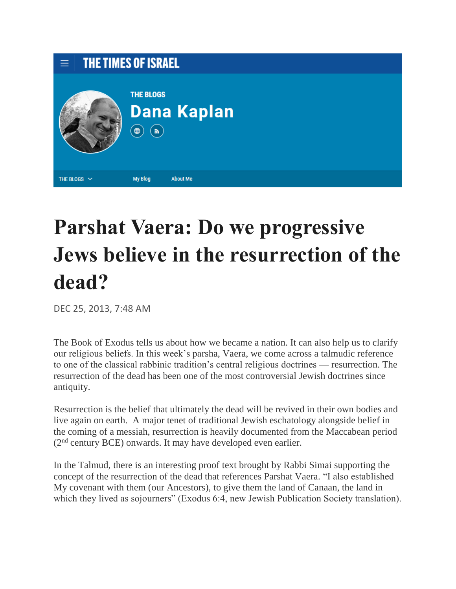

## **Parshat Vaera: Do we progressive Jews believe in the resurrection of the dead?**

DEC 25, 2013, 7:48 AM

The Book of Exodus tells us about how we became a nation. It can also help us to clarify our religious beliefs. In this week's parsha, Vaera, we come across a talmudic reference to one of the classical rabbinic tradition's central religious doctrines — resurrection. The resurrection of the dead has been one of the most controversial Jewish doctrines since antiquity.

Resurrection is the belief that ultimately the dead will be revived in their own bodies and live again on earth. A major tenet of traditional Jewish eschatology alongside belief in the coming of a messiah, resurrection is heavily documented from the Maccabean period (2nd century BCE) onwards. It may have developed even earlier.

In the Talmud, there is an interesting proof text brought by Rabbi Simai supporting the concept of the resurrection of the dead that references Parshat Vaera. "I also established My covenant with them (our Ancestors), to give them the land of Canaan, the land in which they lived as sojourners" (Exodus 6:4, new Jewish Publication Society translation).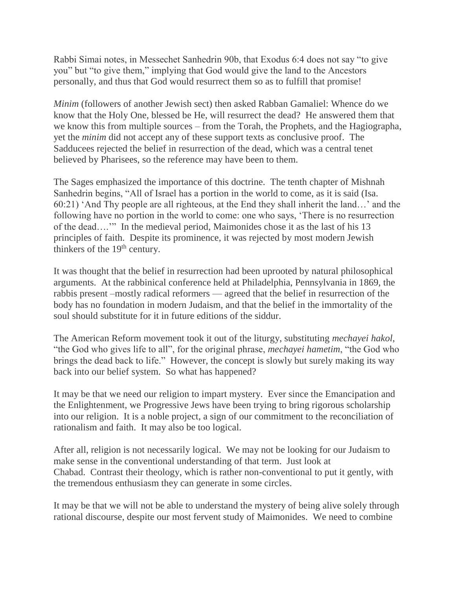Rabbi Simai notes, in Messechet Sanhedrin 90b, that Exodus 6:4 does not say "to give you" but "to give them," implying that God would give the land to the Ancestors personally, and thus that God would resurrect them so as to fulfill that promise!

*Minim* (followers of another Jewish sect) then asked Rabban Gamaliel: Whence do we know that the Holy One, blessed be He, will resurrect the dead? He answered them that we know this from multiple sources – from the Torah, the Prophets, and the Hagiographa, yet the *minim* did not accept any of these support texts as conclusive proof. The Sadducees rejected the belief in resurrection of the dead, which was a central tenet believed by Pharisees, so the reference may have been to them.

The Sages emphasized the importance of this doctrine. The tenth chapter of Mishnah Sanhedrin begins, "All of Israel has a portion in the world to come, as it is said (Isa. 60:21) 'And Thy people are all righteous, at the End they shall inherit the land…' and the following have no portion in the world to come: one who says, 'There is no resurrection of the dead….'" In the medieval period, Maimonides chose it as the last of his 13 principles of faith. Despite its prominence, it was rejected by most modern Jewish thinkers of the 19<sup>th</sup> century.

It was thought that the belief in resurrection had been uprooted by natural philosophical arguments. At the rabbinical conference held at Philadelphia, Pennsylvania in 1869, the rabbis present –mostly radical reformers — agreed that the belief in resurrection of the body has no foundation in modern Judaism, and that the belief in the immortality of the soul should substitute for it in future editions of the siddur.

The American Reform movement took it out of the liturgy, substituting *mechayei hakol*, "the God who gives life to all", for the original phrase, *mechayei hametim*, "the God who brings the dead back to life." However, the concept is slowly but surely making its way back into our belief system. So what has happened?

It may be that we need our religion to impart mystery. Ever since the Emancipation and the Enlightenment, we Progressive Jews have been trying to bring rigorous scholarship into our religion. It is a noble project, a sign of our commitment to the reconciliation of rationalism and faith. It may also be too logical.

After all, religion is not necessarily logical. We may not be looking for our Judaism to make sense in the conventional understanding of that term. Just look at Chabad. Contrast their theology, which is rather non-conventional to put it gently, with the tremendous enthusiasm they can generate in some circles.

It may be that we will not be able to understand the mystery of being alive solely through rational discourse, despite our most fervent study of Maimonides. We need to combine